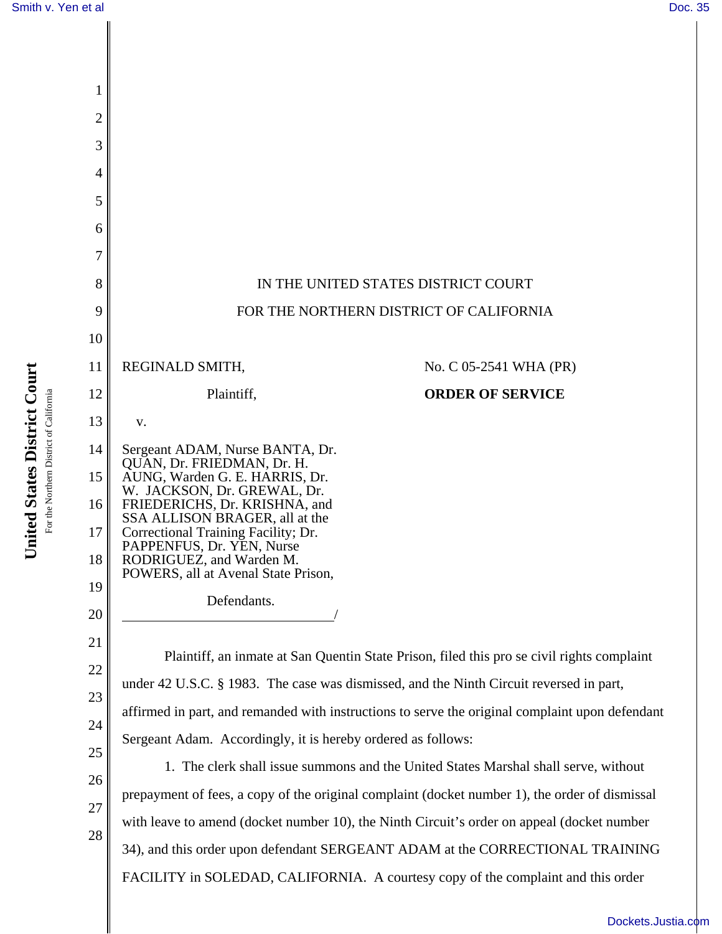

[Dockets.Justia.com](http://dockets.justia.com/)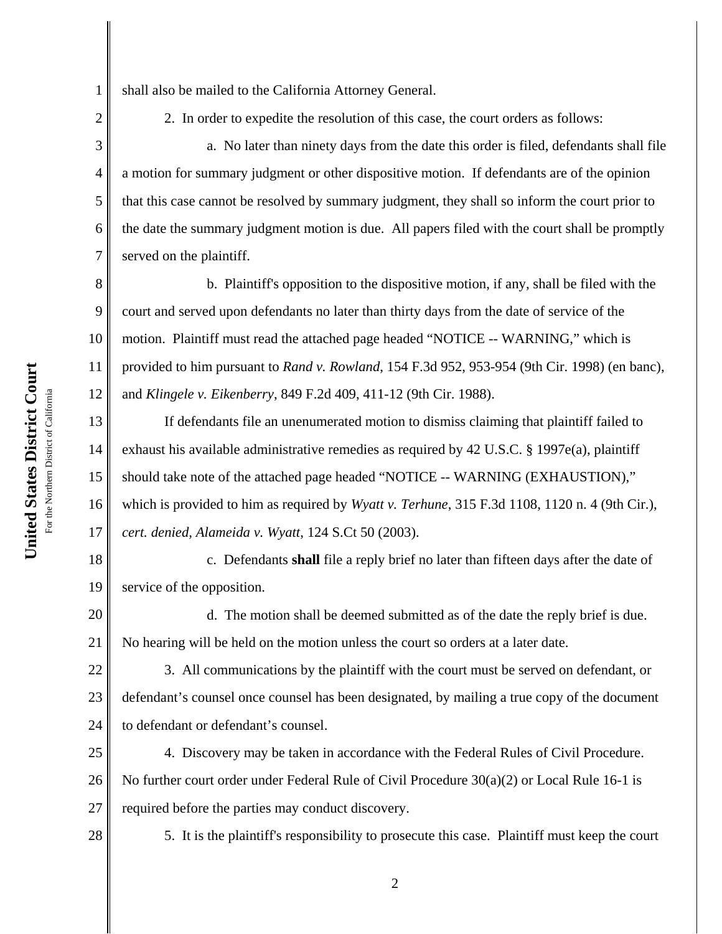United States District Court **United States District Court** For the Northern District of California For the Northern District of California 1

2

3

4

5

6

7

8

9

shall also be mailed to the California Attorney General.

2. In order to expedite the resolution of this case, the court orders as follows:

a. No later than ninety days from the date this order is filed, defendants shall file a motion for summary judgment or other dispositive motion. If defendants are of the opinion that this case cannot be resolved by summary judgment, they shall so inform the court prior to the date the summary judgment motion is due. All papers filed with the court shall be promptly served on the plaintiff.

10 11 12 b. Plaintiff's opposition to the dispositive motion, if any, shall be filed with the court and served upon defendants no later than thirty days from the date of service of the motion. Plaintiff must read the attached page headed "NOTICE -- WARNING," which is provided to him pursuant to *Rand v. Rowland*, 154 F.3d 952, 953-954 (9th Cir. 1998) (en banc), and *Klingele v. Eikenberry*, 849 F.2d 409, 411-12 (9th Cir. 1988).

13 14 15 16 17 If defendants file an unenumerated motion to dismiss claiming that plaintiff failed to exhaust his available administrative remedies as required by 42 U.S.C. § 1997e(a), plaintiff should take note of the attached page headed "NOTICE -- WARNING (EXHAUSTION)," which is provided to him as required by *Wyatt v. Terhune*, 315 F.3d 1108, 1120 n. 4 (9th Cir.), *cert. denied, Alameida v. Wyatt*, 124 S.Ct 50 (2003).

18 19 c. Defendants **shall** file a reply brief no later than fifteen days after the date of service of the opposition.

20 21 d. The motion shall be deemed submitted as of the date the reply brief is due. No hearing will be held on the motion unless the court so orders at a later date.

22 23 24 3. All communications by the plaintiff with the court must be served on defendant, or defendant's counsel once counsel has been designated, by mailing a true copy of the document to defendant or defendant's counsel.

25 26 27 4. Discovery may be taken in accordance with the Federal Rules of Civil Procedure. No further court order under Federal Rule of Civil Procedure 30(a)(2) or Local Rule 16-1 is required before the parties may conduct discovery.

28

5. It is the plaintiff's responsibility to prosecute this case. Plaintiff must keep the court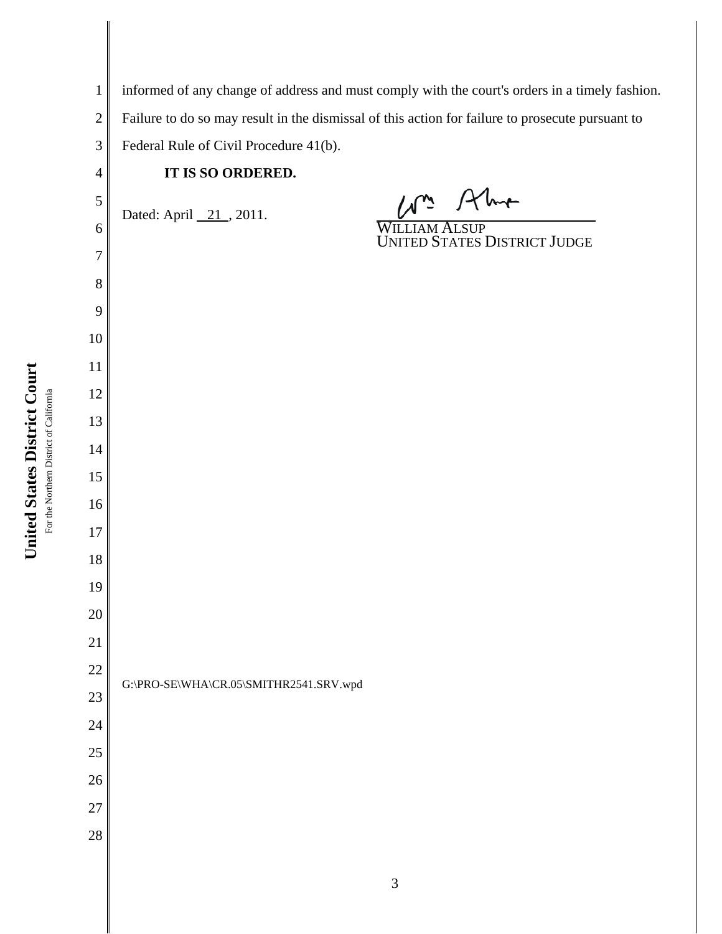| $\mathbf{1}$   | informed of any change of address and must comply with the court's orders in a timely fashion.   |                                               |      |  |
|----------------|--------------------------------------------------------------------------------------------------|-----------------------------------------------|------|--|
| $\mathbf{2}$   | Failure to do so may result in the dismissal of this action for failure to prosecute pursuant to |                                               |      |  |
| 3              | Federal Rule of Civil Procedure 41(b).                                                           |                                               |      |  |
| $\overline{4}$ | IT IS SO ORDERED.                                                                                |                                               |      |  |
| 5              | Dated: April 21, 2011.                                                                           |                                               | Alma |  |
| 6              |                                                                                                  | WILLIAM ALSUP<br>UNITED STATES DISTRICT JUDGE |      |  |
| 7              |                                                                                                  |                                               |      |  |
| 8              |                                                                                                  |                                               |      |  |
| 9              |                                                                                                  |                                               |      |  |
| 10             |                                                                                                  |                                               |      |  |
| 11             |                                                                                                  |                                               |      |  |
| 12             |                                                                                                  |                                               |      |  |
| 13             |                                                                                                  |                                               |      |  |
| 14             |                                                                                                  |                                               |      |  |
| 15<br>16       |                                                                                                  |                                               |      |  |
| 17             |                                                                                                  |                                               |      |  |
| 18             |                                                                                                  |                                               |      |  |
| 19             |                                                                                                  |                                               |      |  |
| 20             |                                                                                                  |                                               |      |  |
| 21             |                                                                                                  |                                               |      |  |
| 22             |                                                                                                  |                                               |      |  |
| 23             | G:\PRO-SE\WHA\CR.05\SMITHR2541.SRV.wpd                                                           |                                               |      |  |
| 24             |                                                                                                  |                                               |      |  |
| 25             |                                                                                                  |                                               |      |  |
| 26             |                                                                                                  |                                               |      |  |
| 27             |                                                                                                  |                                               |      |  |
| $28\,$         |                                                                                                  |                                               |      |  |
|                |                                                                                                  |                                               |      |  |
|                |                                                                                                  | 3                                             |      |  |

## United States District Court **United States District Court** For the Northern District of California For the Northern District of California